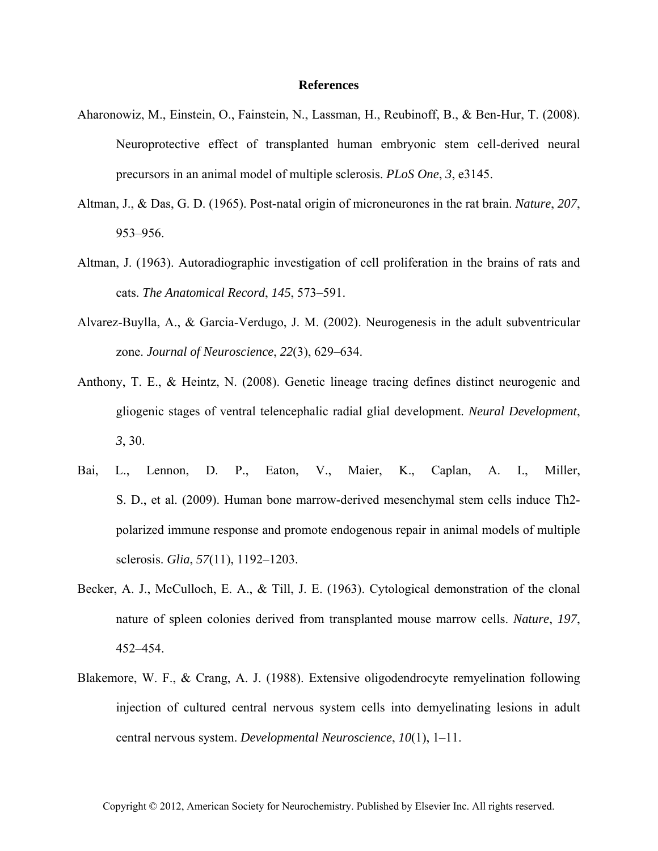## **References**

- Aharonowiz, M., Einstein, O., Fainstein, N., Lassman, H., Reubinoff, B., & Ben-Hur, T. (2008). Neuroprotective effect of transplanted human embryonic stem cell-derived neural precursors in an animal model of multiple sclerosis. *PLoS One*, *3*, e3145.
- Altman, J., & Das, G. D. (1965). Post-natal origin of microneurones in the rat brain. *Nature*, *207*, 953–956.
- Altman, J. (1963). Autoradiographic investigation of cell proliferation in the brains of rats and cats. *The Anatomical Record*, *145*, 573–591.
- Alvarez-Buylla, A., & Garcia-Verdugo, J. M. (2002). Neurogenesis in the adult subventricular zone. *Journal of Neuroscience*, *22*(3), 629–634.
- Anthony, T. E., & Heintz, N. (2008). Genetic lineage tracing defines distinct neurogenic and gliogenic stages of ventral telencephalic radial glial development. *Neural Development*, *3*, 30.
- Bai, L., Lennon, D. P., Eaton, V., Maier, K., Caplan, A. I., Miller, S. D., et al. (2009). Human bone marrow-derived mesenchymal stem cells induce Th2 polarized immune response and promote endogenous repair in animal models of multiple sclerosis. *Glia*, *57*(11), 1192–1203.
- Becker, A. J., McCulloch, E. A., & Till, J. E. (1963). Cytological demonstration of the clonal nature of spleen colonies derived from transplanted mouse marrow cells. *Nature*, *197*, 452–454.
- Blakemore, W. F., & Crang, A. J. (1988). Extensive oligodendrocyte remyelination following injection of cultured central nervous system cells into demyelinating lesions in adult central nervous system. *Developmental Neuroscience*, *10*(1), 1–11.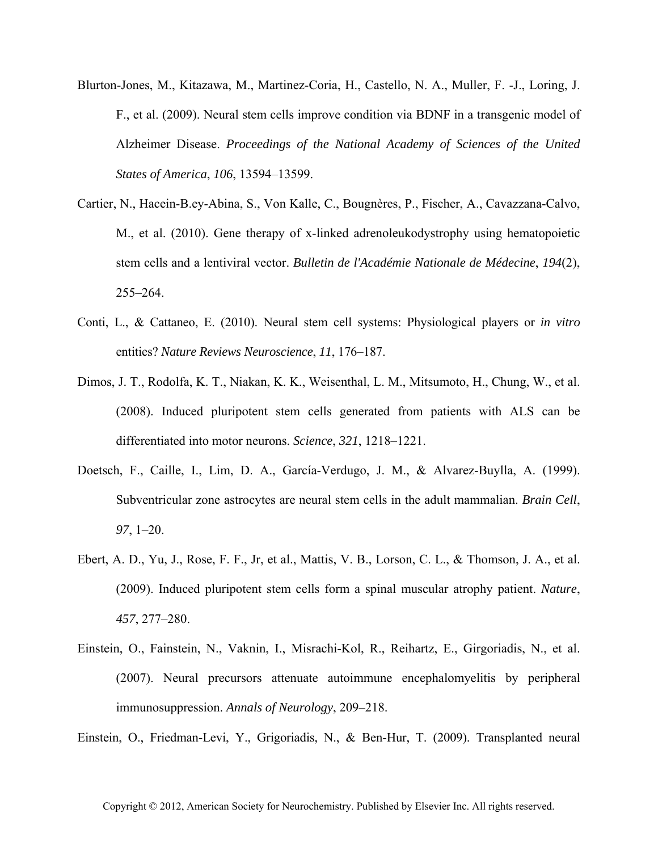- Blurton-Jones, M., Kitazawa, M., Martinez-Coria, H., Castello, N. A., Muller, F. -J., Loring, J. F., et al. (2009). Neural stem cells improve condition via BDNF in a transgenic model of Alzheimer Disease. *Proceedings of the National Academy of Sciences of the United States of America*, *106*, 13594–13599.
- Cartier, N., Hacein-B.ey-Abina, S., Von Kalle, C., Bougnères, P., Fischer, A., Cavazzana-Calvo, M., et al. (2010). Gene therapy of x-linked adrenoleukodystrophy using hematopoietic stem cells and a lentiviral vector. *Bulletin de l'Académie Nationale de Médecine*, *194*(2), 255–264.
- Conti, L., & Cattaneo, E. (2010). Neural stem cell systems: Physiological players or *in vitro* entities? *Nature Reviews Neuroscience*, *11*, 176–187.
- Dimos, J. T., Rodolfa, K. T., Niakan, K. K., Weisenthal, L. M., Mitsumoto, H., Chung, W., et al. (2008). Induced pluripotent stem cells generated from patients with ALS can be differentiated into motor neurons. *Science*, *321*, 1218–1221.
- Doetsch, F., Caille, I., Lim, D. A., García-Verdugo, J. M., & Alvarez-Buylla, A. (1999). Subventricular zone astrocytes are neural stem cells in the adult mammalian. *Brain Cell*, *97*, 1–20.
- Ebert, A. D., Yu, J., Rose, F. F., Jr, et al., Mattis, V. B., Lorson, C. L., & Thomson, J. A., et al. (2009). Induced pluripotent stem cells form a spinal muscular atrophy patient. *Nature*, *457*, 277–280.
- Einstein, O., Fainstein, N., Vaknin, I., Misrachi-Kol, R., Reihartz, E., Girgoriadis, N., et al. (2007). Neural precursors attenuate autoimmune encephalomyelitis by peripheral immunosuppression. *Annals of Neurology*, 209–218.

Einstein, O., Friedman-Levi, Y., Grigoriadis, N., & Ben-Hur, T. (2009). Transplanted neural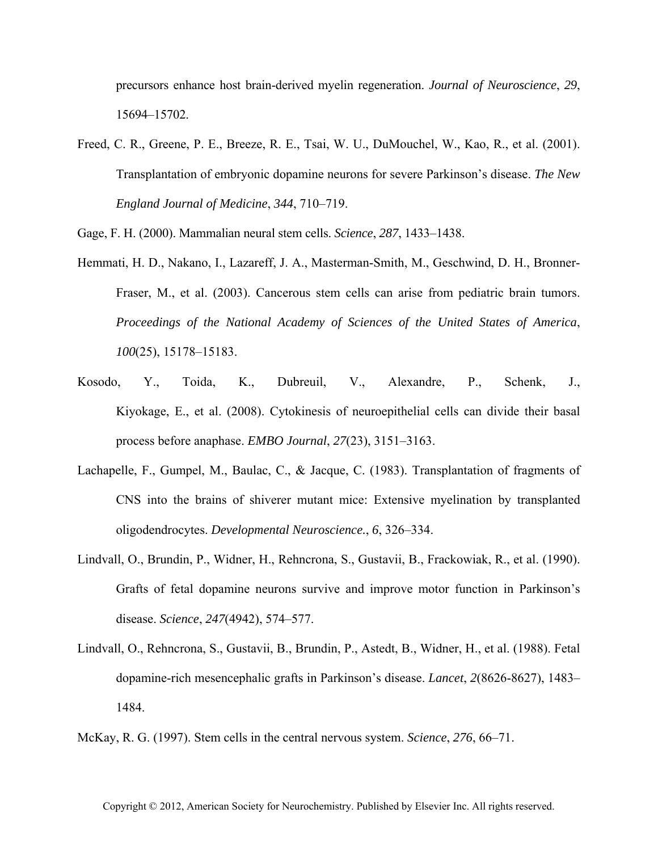precursors enhance host brain-derived myelin regeneration. *Journal of Neuroscience*, *29*, 15694–15702.

Freed, C. R., Greene, P. E., Breeze, R. E., Tsai, W. U., DuMouchel, W., Kao, R., et al. (2001). Transplantation of embryonic dopamine neurons for severe Parkinson's disease. *The New England Journal of Medicine*, *344*, 710–719.

Gage, F. H. (2000). Mammalian neural stem cells. *Science*, *287*, 1433–1438.

- Hemmati, H. D., Nakano, I., Lazareff, J. A., Masterman-Smith, M., Geschwind, D. H., Bronner-Fraser, M., et al. (2003). Cancerous stem cells can arise from pediatric brain tumors. *Proceedings of the National Academy of Sciences of the United States of America*, *100*(25), 15178–15183.
- Kosodo, Y., Toida, K., Dubreuil, V., Alexandre, P., Schenk, J., Kiyokage, E., et al. (2008). Cytokinesis of neuroepithelial cells can divide their basal process before anaphase. *EMBO Journal*, *27*(23), 3151–3163.
- Lachapelle, F., Gumpel, M., Baulac, C., & Jacque, C. (1983). Transplantation of fragments of CNS into the brains of shiverer mutant mice: Extensive myelination by transplanted oligodendrocytes. *Developmental Neuroscience.*, *6*, 326–334.
- Lindvall, O., Brundin, P., Widner, H., Rehncrona, S., Gustavii, B., Frackowiak, R., et al. (1990). Grafts of fetal dopamine neurons survive and improve motor function in Parkinson's disease. *Science*, *247*(4942), 574–577.
- Lindvall, O., Rehncrona, S., Gustavii, B., Brundin, P., Astedt, B., Widner, H., et al. (1988). Fetal dopamine-rich mesencephalic grafts in Parkinson's disease. *Lancet*, *2*(8626-8627), 1483– 1484.

McKay, R. G. (1997). Stem cells in the central nervous system. *Science*, *276*, 66–71.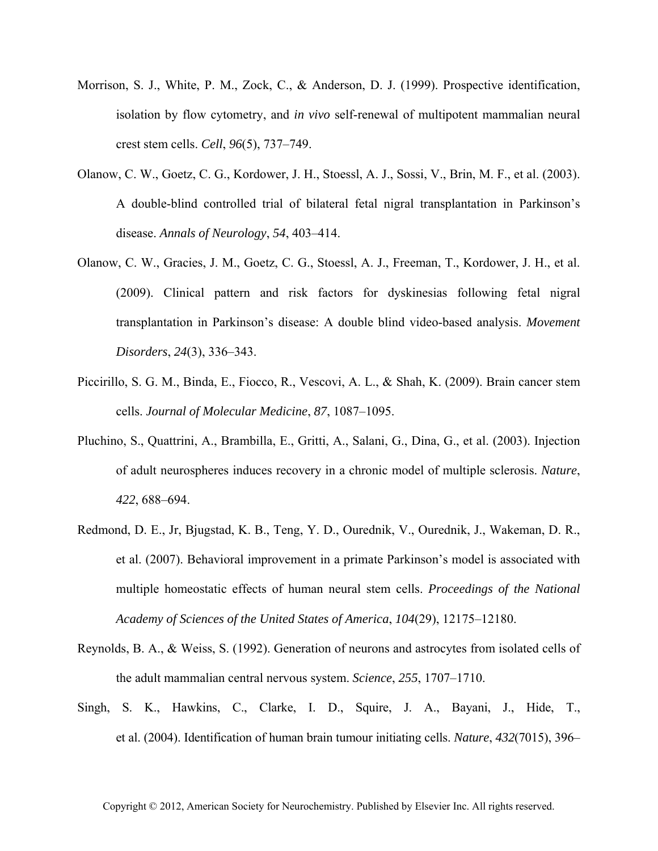- Morrison, S. J., White, P. M., Zock, C., & Anderson, D. J. (1999). Prospective identification, isolation by flow cytometry, and *in vivo* self-renewal of multipotent mammalian neural crest stem cells. *Cell*, *96*(5), 737–749.
- Olanow, C. W., Goetz, C. G., Kordower, J. H., Stoessl, A. J., Sossi, V., Brin, M. F., et al. (2003). A double-blind controlled trial of bilateral fetal nigral transplantation in Parkinson's disease. *Annals of Neurology*, *54*, 403–414.
- Olanow, C. W., Gracies, J. M., Goetz, C. G., Stoessl, A. J., Freeman, T., Kordower, J. H., et al. (2009). Clinical pattern and risk factors for dyskinesias following fetal nigral transplantation in Parkinson's disease: A double blind video-based analysis. *Movement Disorders*, *24*(3), 336–343.
- Piccirillo, S. G. M., Binda, E., Fiocco, R., Vescovi, A. L., & Shah, K. (2009). Brain cancer stem cells. *Journal of Molecular Medicine*, *87*, 1087–1095.
- Pluchino, S., Quattrini, A., Brambilla, E., Gritti, A., Salani, G., Dina, G., et al. (2003). Injection of adult neurospheres induces recovery in a chronic model of multiple sclerosis. *Nature*, *422*, 688–694.
- Redmond, D. E., Jr, Bjugstad, K. B., Teng, Y. D., Ourednik, V., Ourednik, J., Wakeman, D. R., et al. (2007). Behavioral improvement in a primate Parkinson's model is associated with multiple homeostatic effects of human neural stem cells. *Proceedings of the National Academy of Sciences of the United States of America*, *104*(29), 12175–12180.
- Reynolds, B. A., & Weiss, S. (1992). Generation of neurons and astrocytes from isolated cells of the adult mammalian central nervous system. *Science*, *255*, 1707–1710.
- Singh, S. K., Hawkins, C., Clarke, I. D., Squire, J. A., Bayani, J., Hide, T., et al. (2004). Identification of human brain tumour initiating cells. *Nature*, *432*(7015), 396–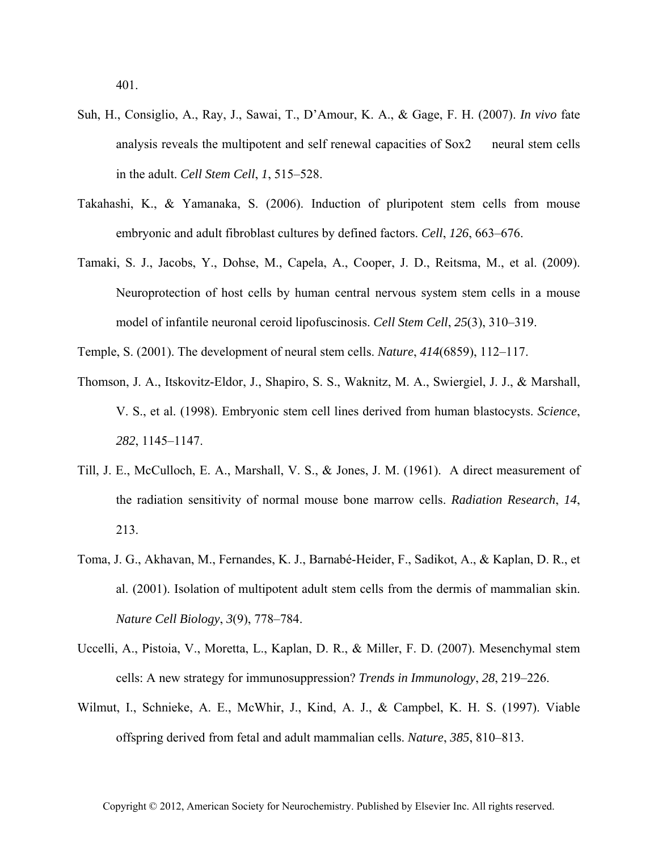401.

- Suh, H., Consiglio, A., Ray, J., Sawai, T., D'Amour, K. A., & Gage, F. H. (2007). *In vivo* fate analysis reveals the multipotent and self renewal capacities of Sox2 neural stem cells in the adult. *Cell Stem Cell*, *1*, 515–528.
- Takahashi, K., & Yamanaka, S. (2006). Induction of pluripotent stem cells from mouse embryonic and adult fibroblast cultures by defined factors. *Cell*, *126*, 663–676.
- Tamaki, S. J., Jacobs, Y., Dohse, M., Capela, A., Cooper, J. D., Reitsma, M., et al. (2009). Neuroprotection of host cells by human central nervous system stem cells in a mouse model of infantile neuronal ceroid lipofuscinosis. *Cell Stem Cell*, *25*(3), 310–319.
- Temple, S. (2001). The development of neural stem cells. *Nature*, *414*(6859), 112–117.
- Thomson, J. A., Itskovitz-Eldor, J., Shapiro, S. S., Waknitz, M. A., Swiergiel, J. J., & Marshall, V. S., et al. (1998). Embryonic stem cell lines derived from human blastocysts. *Science*, *282*, 1145–1147.
- Till, J. E., McCulloch, E. A., Marshall, V. S., & Jones, J. M. (1961). A direct measurement of the radiation sensitivity of normal mouse bone marrow cells. *Radiation Research*, *14*, 213.
- Toma, J. G., Akhavan, M., Fernandes, K. J., Barnabé-Heider, F., Sadikot, A., & Kaplan, D. R., et al. (2001). Isolation of multipotent adult stem cells from the dermis of mammalian skin. *Nature Cell Biology*, *3*(9), 778–784.
- Uccelli, A., Pistoia, V., Moretta, L., Kaplan, D. R., & Miller, F. D. (2007). Mesenchymal stem cells: A new strategy for immunosuppression? *Trends in Immunology*, *28*, 219–226.
- Wilmut, I., Schnieke, A. E., McWhir, J., Kind, A. J., & Campbel, K. H. S. (1997). Viable offspring derived from fetal and adult mammalian cells. *Nature*, *385*, 810–813.